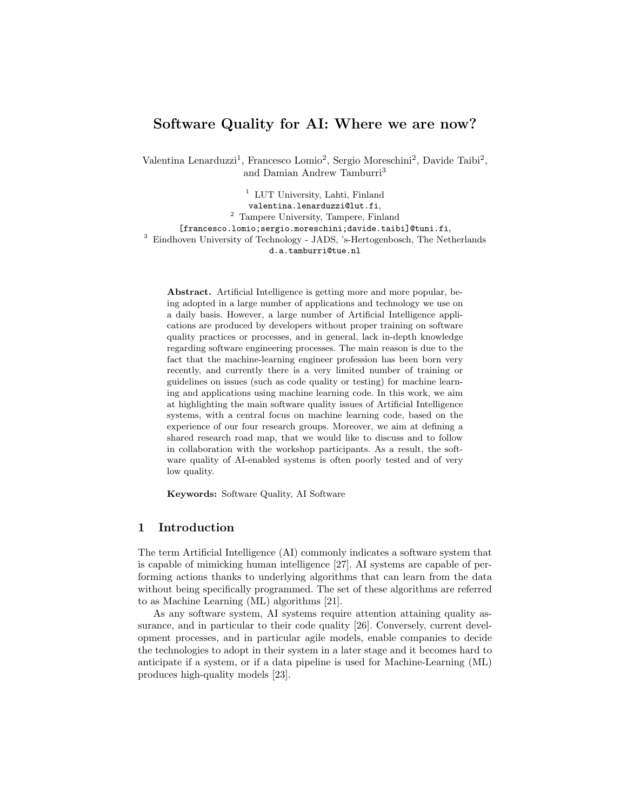# Software Quality for AI: Where we are now?

Valentina Lenarduzzi<sup>1</sup>, Francesco Lomio<sup>2</sup>, Sergio Moreschini<sup>2</sup>, Davide Taibi<sup>2</sup>, and Damian Andrew Tamburri<sup>3</sup>

<sup>1</sup> LUT University, Lahti, Finland valentina.lenarduzzi@lut.fi, <sup>2</sup> Tampere University, Tampere, Finland [francesco.lomio;sergio.moreschini;davide.taibi]@tuni.fi, <sup>3</sup> Eindhoven University of Technology - JADS, 's-Hertogenbosch, The Netherlands d.a.tamburri@tue.nl

Abstract. Artificial Intelligence is getting more and more popular, being adopted in a large number of applications and technology we use on a daily basis. However, a large number of Artificial Intelligence applications are produced by developers without proper training on software quality practices or processes, and in general, lack in-depth knowledge regarding software engineering processes. The main reason is due to the fact that the machine-learning engineer profession has been born very recently, and currently there is a very limited number of training or guidelines on issues (such as code quality or testing) for machine learning and applications using machine learning code. In this work, we aim at highlighting the main software quality issues of Artificial Intelligence systems, with a central focus on machine learning code, based on the experience of our four research groups. Moreover, we aim at defining a shared research road map, that we would like to discuss and to follow in collaboration with the workshop participants. As a result, the software quality of AI-enabled systems is often poorly tested and of very low quality.

Keywords: Software Quality, AI Software

#### 1 Introduction

The term Artificial Intelligence (AI) commonly indicates a software system that is capable of mimicking human intelligence [27]. AI systems are capable of performing actions thanks to underlying algorithms that can learn from the data without being specifically programmed. The set of these algorithms are referred to as Machine Learning (ML) algorithms [21].

As any software system, AI systems require attention attaining quality assurance, and in particular to their code quality [26]. Conversely, current development processes, and in particular agile models, enable companies to decide the technologies to adopt in their system in a later stage and it becomes hard to anticipate if a system, or if a data pipeline is used for Machine-Learning (ML) produces high-quality models [23].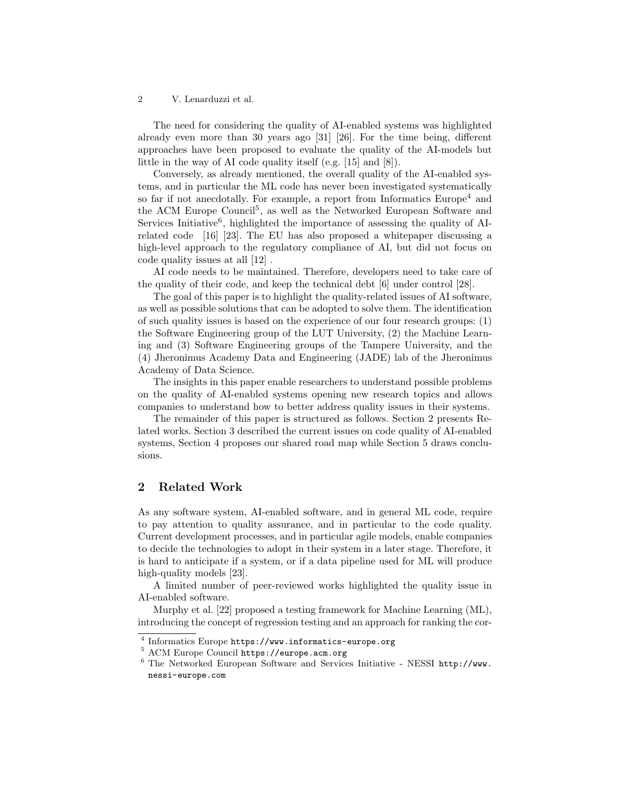2 V. Lenarduzzi et al.

The need for considering the quality of AI-enabled systems was highlighted already even more than 30 years ago [31] [26]. For the time being, different approaches have been proposed to evaluate the quality of the AI-models but little in the way of AI code quality itself (e.g. [15] and [8]).

Conversely, as already mentioned, the overall quality of the AI-enabled systems, and in particular the ML code has never been investigated systematically so far if not anecdotally. For example, a report from Informatics  $Europe<sup>4</sup>$  and the ACM Europe Council<sup>5</sup>, as well as the Networked European Software and Services Initiative<sup>6</sup>, highlighted the importance of assessing the quality of AIrelated code [16] [23]. The EU has also proposed a whitepaper discussing a high-level approach to the regulatory compliance of AI, but did not focus on code quality issues at all [12] .

AI code needs to be maintained. Therefore, developers need to take care of the quality of their code, and keep the technical debt [6] under control [28].

The goal of this paper is to highlight the quality-related issues of AI software, as well as possible solutions that can be adopted to solve them. The identification of such quality issues is based on the experience of our four research groups: (1) the Software Engineering group of the LUT University, (2) the Machine Learning and (3) Software Engineering groups of the Tampere University, and the (4) Jheronimus Academy Data and Engineering (JADE) lab of the Jheronimus Academy of Data Science.

The insights in this paper enable researchers to understand possible problems on the quality of AI-enabled systems opening new research topics and allows companies to understand how to better address quality issues in their systems.

The remainder of this paper is structured as follows. Section 2 presents Related works. Section 3 described the current issues on code quality of AI-enabled systems, Section 4 proposes our shared road map while Section 5 draws conclusions.

# 2 Related Work

As any software system, AI-enabled software, and in general ML code, require to pay attention to quality assurance, and in particular to the code quality. Current development processes, and in particular agile models, enable companies to decide the technologies to adopt in their system in a later stage. Therefore, it is hard to anticipate if a system, or if a data pipeline used for ML will produce high-quality models [23].

A limited number of peer-reviewed works highlighted the quality issue in AI-enabled software.

Murphy et al. [22] proposed a testing framework for Machine Learning (ML), introducing the concept of regression testing and an approach for ranking the cor-

<sup>4</sup> Informatics Europe https://www.informatics-europe.org

<sup>5</sup> ACM Europe Council https://europe.acm.org

<sup>6</sup> The Networked European Software and Services Initiative - NESSI http://www. nessi-europe.com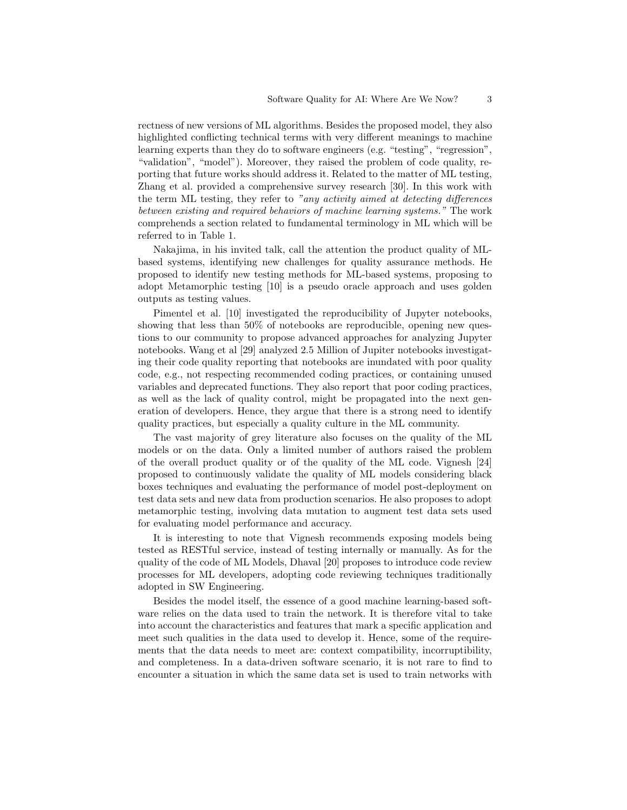rectness of new versions of ML algorithms. Besides the proposed model, they also highlighted conflicting technical terms with very different meanings to machine learning experts than they do to software engineers (e.g. "testing", "regression", "validation", "model"). Moreover, they raised the problem of code quality, reporting that future works should address it. Related to the matter of ML testing, Zhang et al. provided a comprehensive survey research [30]. In this work with the term ML testing, they refer to "any activity aimed at detecting differences between existing and required behaviors of machine learning systems." The work comprehends a section related to fundamental terminology in ML which will be referred to in Table 1.

Nakajima, in his invited talk, call the attention the product quality of MLbased systems, identifying new challenges for quality assurance methods. He proposed to identify new testing methods for ML-based systems, proposing to adopt Metamorphic testing [10] is a pseudo oracle approach and uses golden outputs as testing values.

Pimentel et al. [10] investigated the reproducibility of Jupyter notebooks, showing that less than 50% of notebooks are reproducible, opening new questions to our community to propose advanced approaches for analyzing Jupyter notebooks. Wang et al [29] analyzed 2.5 Million of Jupiter notebooks investigating their code quality reporting that notebooks are inundated with poor quality code, e.g., not respecting recommended coding practices, or containing unused variables and deprecated functions. They also report that poor coding practices, as well as the lack of quality control, might be propagated into the next generation of developers. Hence, they argue that there is a strong need to identify quality practices, but especially a quality culture in the ML community.

The vast majority of grey literature also focuses on the quality of the ML models or on the data. Only a limited number of authors raised the problem of the overall product quality or of the quality of the ML code. Vignesh [24] proposed to continuously validate the quality of ML models considering black boxes techniques and evaluating the performance of model post-deployment on test data sets and new data from production scenarios. He also proposes to adopt metamorphic testing, involving data mutation to augment test data sets used for evaluating model performance and accuracy.

It is interesting to note that Vignesh recommends exposing models being tested as RESTful service, instead of testing internally or manually. As for the quality of the code of ML Models, Dhaval [20] proposes to introduce code review processes for ML developers, adopting code reviewing techniques traditionally adopted in SW Engineering.

Besides the model itself, the essence of a good machine learning-based software relies on the data used to train the network. It is therefore vital to take into account the characteristics and features that mark a specific application and meet such qualities in the data used to develop it. Hence, some of the requirements that the data needs to meet are: context compatibility, incorruptibility, and completeness. In a data-driven software scenario, it is not rare to find to encounter a situation in which the same data set is used to train networks with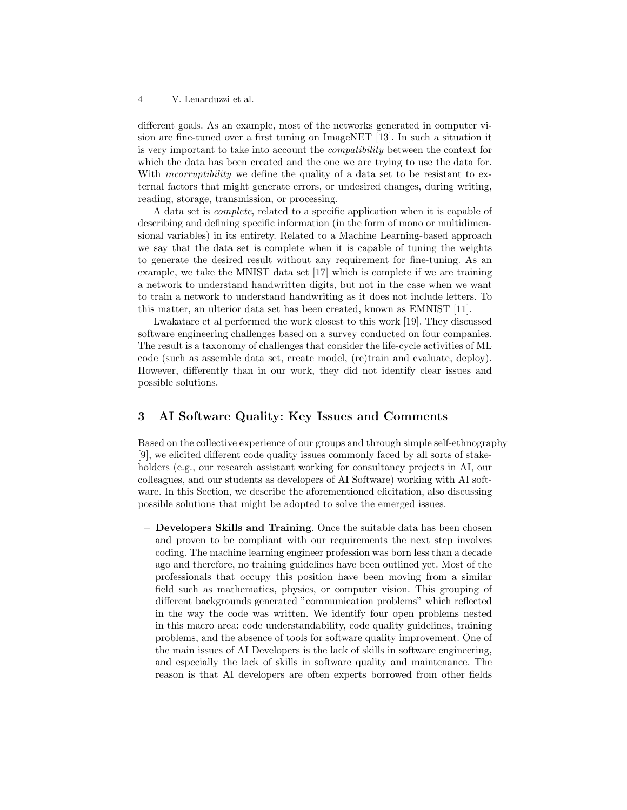#### 4 V. Lenarduzzi et al.

different goals. As an example, most of the networks generated in computer vision are fine-tuned over a first tuning on ImageNET [13]. In such a situation it is very important to take into account the compatibility between the context for which the data has been created and the one we are trying to use the data for. With *incorruptibility* we define the quality of a data set to be resistant to external factors that might generate errors, or undesired changes, during writing, reading, storage, transmission, or processing.

A data set is complete, related to a specific application when it is capable of describing and defining specific information (in the form of mono or multidimensional variables) in its entirety. Related to a Machine Learning-based approach we say that the data set is complete when it is capable of tuning the weights to generate the desired result without any requirement for fine-tuning. As an example, we take the MNIST data set [17] which is complete if we are training a network to understand handwritten digits, but not in the case when we want to train a network to understand handwriting as it does not include letters. To this matter, an ulterior data set has been created, known as EMNIST [11].

Lwakatare et al performed the work closest to this work [19]. They discussed software engineering challenges based on a survey conducted on four companies. The result is a taxonomy of challenges that consider the life-cycle activities of ML code (such as assemble data set, create model, (re)train and evaluate, deploy). However, differently than in our work, they did not identify clear issues and possible solutions.

# 3 AI Software Quality: Key Issues and Comments

Based on the collective experience of our groups and through simple self-ethnography [9], we elicited different code quality issues commonly faced by all sorts of stakeholders (e.g., our research assistant working for consultancy projects in AI, our colleagues, and our students as developers of AI Software) working with AI software. In this Section, we describe the aforementioned elicitation, also discussing possible solutions that might be adopted to solve the emerged issues.

– Developers Skills and Training. Once the suitable data has been chosen and proven to be compliant with our requirements the next step involves coding. The machine learning engineer profession was born less than a decade ago and therefore, no training guidelines have been outlined yet. Most of the professionals that occupy this position have been moving from a similar field such as mathematics, physics, or computer vision. This grouping of different backgrounds generated "communication problems" which reflected in the way the code was written. We identify four open problems nested in this macro area: code understandability, code quality guidelines, training problems, and the absence of tools for software quality improvement. One of the main issues of AI Developers is the lack of skills in software engineering, and especially the lack of skills in software quality and maintenance. The reason is that AI developers are often experts borrowed from other fields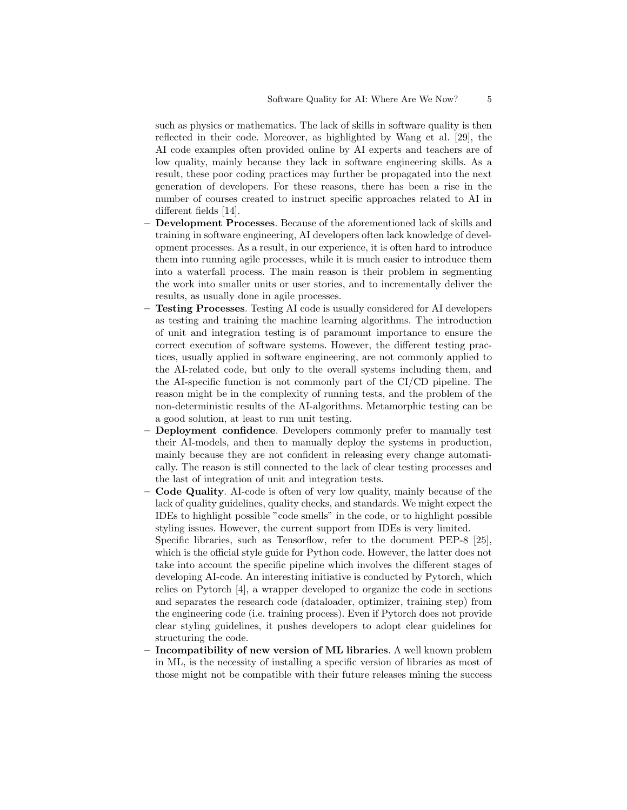such as physics or mathematics. The lack of skills in software quality is then reflected in their code. Moreover, as highlighted by Wang et al. [29], the AI code examples often provided online by AI experts and teachers are of low quality, mainly because they lack in software engineering skills. As a result, these poor coding practices may further be propagated into the next generation of developers. For these reasons, there has been a rise in the number of courses created to instruct specific approaches related to AI in different fields [14].

- Development Processes. Because of the aforementioned lack of skills and training in software engineering, AI developers often lack knowledge of development processes. As a result, in our experience, it is often hard to introduce them into running agile processes, while it is much easier to introduce them into a waterfall process. The main reason is their problem in segmenting the work into smaller units or user stories, and to incrementally deliver the results, as usually done in agile processes.
- Testing Processes. Testing AI code is usually considered for AI developers as testing and training the machine learning algorithms. The introduction of unit and integration testing is of paramount importance to ensure the correct execution of software systems. However, the different testing practices, usually applied in software engineering, are not commonly applied to the AI-related code, but only to the overall systems including them, and the AI-specific function is not commonly part of the CI/CD pipeline. The reason might be in the complexity of running tests, and the problem of the non-deterministic results of the AI-algorithms. Metamorphic testing can be a good solution, at least to run unit testing.
- Deployment confidence. Developers commonly prefer to manually test their AI-models, and then to manually deploy the systems in production, mainly because they are not confident in releasing every change automatically. The reason is still connected to the lack of clear testing processes and the last of integration of unit and integration tests.
- Code Quality. AI-code is often of very low quality, mainly because of the lack of quality guidelines, quality checks, and standards. We might expect the IDEs to highlight possible "code smells" in the code, or to highlight possible styling issues. However, the current support from IDEs is very limited. Specific libraries, such as Tensorflow, refer to the document PEP-8 [25], which is the official style guide for Python code. However, the latter does not take into account the specific pipeline which involves the different stages of developing AI-code. An interesting initiative is conducted by Pytorch, which relies on Pytorch [4], a wrapper developed to organize the code in sections and separates the research code (dataloader, optimizer, training step) from the engineering code (i.e. training process). Even if Pytorch does not provide clear styling guidelines, it pushes developers to adopt clear guidelines for structuring the code.
- Incompatibility of new version of ML libraries. A well known problem in ML, is the necessity of installing a specific version of libraries as most of those might not be compatible with their future releases mining the success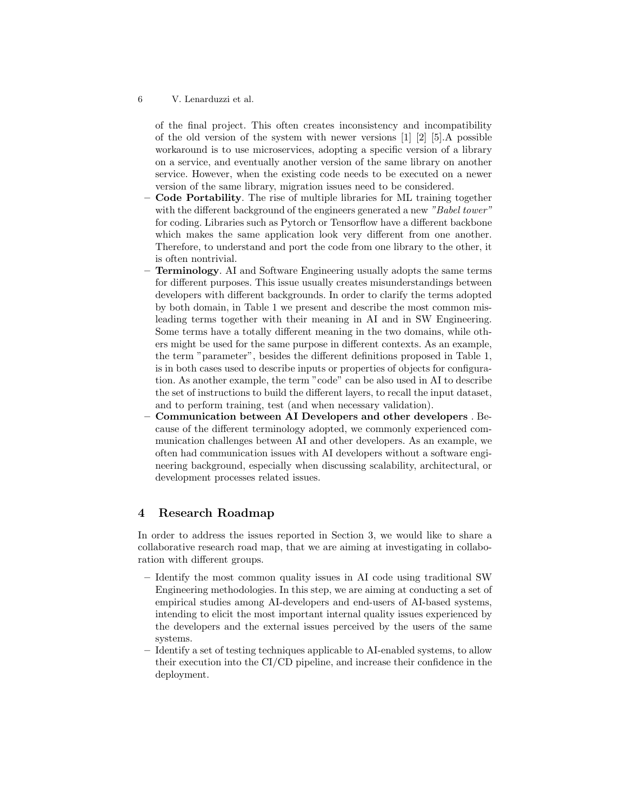6 V. Lenarduzzi et al.

of the final project. This often creates inconsistency and incompatibility of the old version of the system with newer versions  $\begin{bmatrix} 1 \end{bmatrix}$   $\begin{bmatrix} 2 \end{bmatrix}$   $\begin{bmatrix} 5 \end{bmatrix}$ . A possible workaround is to use microservices, adopting a specific version of a library on a service, and eventually another version of the same library on another service. However, when the existing code needs to be executed on a newer version of the same library, migration issues need to be considered.

- Code Portability. The rise of multiple libraries for ML training together with the different background of the engineers generated a new "Babel tower" for coding. Libraries such as Pytorch or Tensorflow have a different backbone which makes the same application look very different from one another. Therefore, to understand and port the code from one library to the other, it is often nontrivial.
- Terminology. AI and Software Engineering usually adopts the same terms for different purposes. This issue usually creates misunderstandings between developers with different backgrounds. In order to clarify the terms adopted by both domain, in Table 1 we present and describe the most common misleading terms together with their meaning in AI and in SW Engineering. Some terms have a totally different meaning in the two domains, while others might be used for the same purpose in different contexts. As an example, the term "parameter", besides the different definitions proposed in Table 1, is in both cases used to describe inputs or properties of objects for configuration. As another example, the term "code" can be also used in AI to describe the set of instructions to build the different layers, to recall the input dataset, and to perform training, test (and when necessary validation).
- Communication between AI Developers and other developers . Because of the different terminology adopted, we commonly experienced communication challenges between AI and other developers. As an example, we often had communication issues with AI developers without a software engineering background, especially when discussing scalability, architectural, or development processes related issues.

## 4 Research Roadmap

In order to address the issues reported in Section 3, we would like to share a collaborative research road map, that we are aiming at investigating in collaboration with different groups.

- Identify the most common quality issues in AI code using traditional SW Engineering methodologies. In this step, we are aiming at conducting a set of empirical studies among AI-developers and end-users of AI-based systems, intending to elicit the most important internal quality issues experienced by the developers and the external issues perceived by the users of the same systems.
- Identify a set of testing techniques applicable to AI-enabled systems, to allow their execution into the CI/CD pipeline, and increase their confidence in the deployment.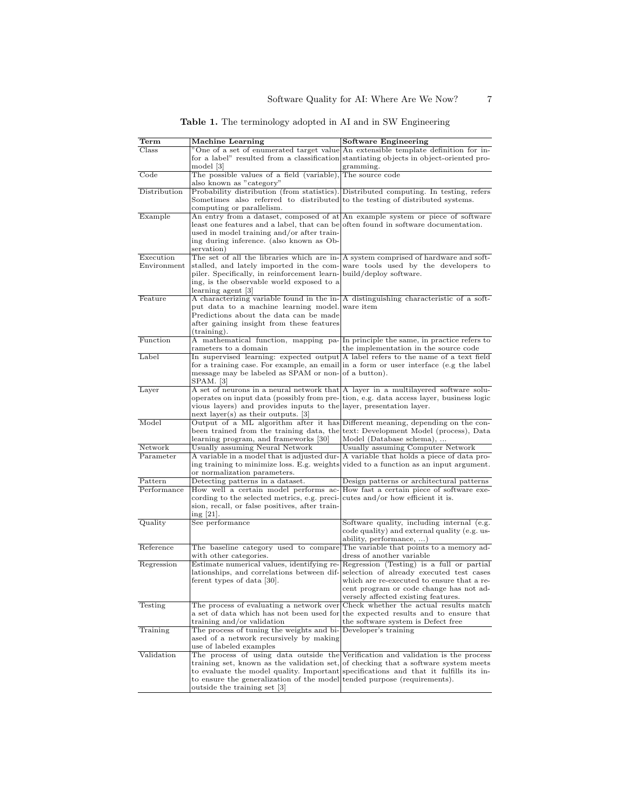| Term           | Machine Learning                                                                   | <b>Software Engineering</b>                                                             |
|----------------|------------------------------------------------------------------------------------|-----------------------------------------------------------------------------------------|
| Class          |                                                                                    | "One of a set of enumerated target value An extensible template definition for in-      |
|                |                                                                                    | for a label" resulted from a classification stantiating objects in object-oriented pro- |
|                | $\mod$ el $ 3 $                                                                    | gramming.                                                                               |
| Code           | The possible values of a field (variable), The source code                         |                                                                                         |
|                | also known as "category"                                                           |                                                                                         |
| Distribution   |                                                                                    | Probability distribution (from statistics). Distributed computing. In testing, refers   |
|                | Sometimes also referred to distributed to the testing of distributed systems.      |                                                                                         |
|                |                                                                                    |                                                                                         |
|                | computing or parallelism.                                                          |                                                                                         |
| Example        |                                                                                    | An entry from a dataset, composed of at $ An$ example system or piece of software       |
|                | least one features and a label, that can be often found in software documentation. |                                                                                         |
|                | used in model training and/or after train-                                         |                                                                                         |
|                | ing during inference. (also known as Ob-                                           |                                                                                         |
|                | servation)                                                                         |                                                                                         |
| Execution      |                                                                                    | The set of all the libraries which are in-A system comprised of hardware and soft-      |
| Environment    |                                                                                    | stalled, and lately imported in the com- ware tools used by the developers to           |
|                | piler. Specifically, in reinforcement learn- build/deploy software.                |                                                                                         |
|                | ing, is the observable world exposed to a                                          |                                                                                         |
|                | $\ell$ learning agent $ 3 $                                                        |                                                                                         |
| Feature        |                                                                                    | A characterizing variable found in the in- A distinguishing characteristic of a soft-   |
|                | put data to a machine learning model. ware item                                    |                                                                                         |
|                | Predictions about the data can be made                                             |                                                                                         |
|                | after gaining insight from these features                                          |                                                                                         |
|                | $(\text{training}).$                                                               |                                                                                         |
| Function       |                                                                                    | A mathematical function, mapping pa-In principle the same, in practice refers to        |
|                | rameters to a domain                                                               | the implementation in the source code                                                   |
| Label          |                                                                                    | In supervised learning: expected output $A$ label refers to the name of a text field    |
|                |                                                                                    | for a training case. For example, an email in a form or user interface (e.g the label   |
|                | message may be labeled as SPAM or non- of a button).                               |                                                                                         |
|                | SPAM. [3]                                                                          |                                                                                         |
| $_{\rm Layer}$ |                                                                                    | A set of neurons in a neural network that A layer in a multilayered software solu-      |
|                |                                                                                    | operates on input data (possibly from pre-tion, e.g. data access layer, business logic  |
|                | vious layers) and provides inputs to the layer, presentation layer.                |                                                                                         |
|                | next layer(s) as their outputs. $ 3 $                                              |                                                                                         |
| Model          |                                                                                    | Output of a ML algorithm after it has Different meaning, depending on the con-          |
|                |                                                                                    | been trained from the training data, the text: Development Model (process), Data        |
|                | learning program, and frameworks [30]                                              | Model (Database schema),                                                                |
| Network        | Usually assuming Neural Network                                                    | Usually assuming Computer Network                                                       |
| Parameter      |                                                                                    | A variable in a model that is adjusted dur- A variable that holds a piece of data pro-  |
|                |                                                                                    | ing training to minimize loss. E.g. weights vided to a function as an input argument.   |
|                | or normalization parameters.                                                       |                                                                                         |
| Pattern        | Detecting patterns in a dataset.                                                   | Design patterns or architectural patterns                                               |
| Performance    | How well a certain model performs ac-                                              | How fast a certain piece of software exe-                                               |
|                | cording to the selected metrics, e.g. preci-                                       | cutes and/or how efficient it is.                                                       |
|                | sion, recall, or false positives, after train-                                     |                                                                                         |
|                | ing $ 21 $ .                                                                       |                                                                                         |
| Quality        | See performance                                                                    | Software quality, including internal (e.g.                                              |
|                |                                                                                    |                                                                                         |
|                |                                                                                    | code quality) and external quality (e.g. us-                                            |
|                |                                                                                    | ability, performance, )                                                                 |
| Reference      | The baseline category used to compare<br>with other categories.                    | The variable that points to a memory ad-<br>dress of another variable                   |
|                |                                                                                    |                                                                                         |
| Regression     | Estimate numerical values, identifying re-                                         | Regression (Testing) is a full or partial                                               |
|                | lationships, and correlations between dif-                                         | selection of already executed test cases                                                |
|                | ferent types of data $ 30 $ .                                                      | which are re-executed to ensure that a re-                                              |
|                |                                                                                    | cent program or code change has not ad-                                                 |
|                |                                                                                    | versely affected existing features.                                                     |
| Testing        |                                                                                    | The process of evaluating a network over Check whether the actual results match         |
|                |                                                                                    | a set of data which has not been used for the expected results and to ensure that       |
|                | training and/or validation                                                         | the software system is Defect free                                                      |
| Training       | The process of tuning the weights and bi-                                          | Developer's training                                                                    |
|                | ased of a network recursively by making                                            |                                                                                         |
|                | use of labeled examples                                                            |                                                                                         |
| Validation     |                                                                                    | The process of using data outside the Verification and validation is the process        |
|                |                                                                                    | training set, known as the validation set, of checking that a software system meets     |
|                |                                                                                    | to evaluate the model quality. Important specifications and that it fulfills its in-    |
|                | to ensure the generalization of the model tended purpose (requirements).           |                                                                                         |
|                | outside the training set [3]                                                       |                                                                                         |

Table 1. The terminology adopted in AI and in SW Engineering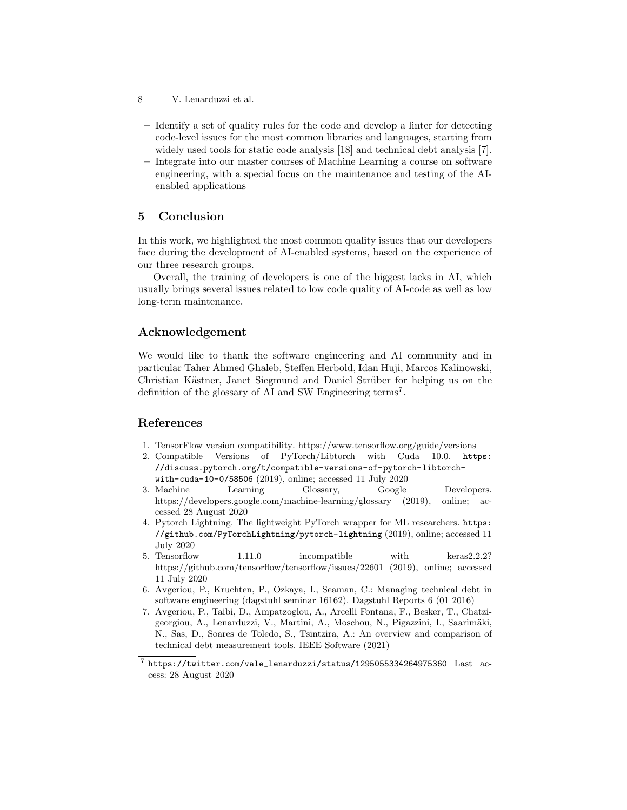- 8 V. Lenarduzzi et al.
- Identify a set of quality rules for the code and develop a linter for detecting code-level issues for the most common libraries and languages, starting from widely used tools for static code analysis [18] and technical debt analysis [7].
- Integrate into our master courses of Machine Learning a course on software engineering, with a special focus on the maintenance and testing of the AIenabled applications

# 5 Conclusion

In this work, we highlighted the most common quality issues that our developers face during the development of AI-enabled systems, based on the experience of our three research groups.

Overall, the training of developers is one of the biggest lacks in AI, which usually brings several issues related to low code quality of AI-code as well as low long-term maintenance.

## Acknowledgement

We would like to thank the software engineering and AI community and in particular Taher Ahmed Ghaleb, Steffen Herbold, Idan Huji, Marcos Kalinowski, Christian Kästner, Janet Siegmund and Daniel Strüber for helping us on the definition of the glossary of AI and SW Engineering terms<sup>7</sup>.

## References

- 1. TensorFlow version compatibility. https://www.tensorflow.org/guide/versions
- 2. Compatible Versions of PyTorch/Libtorch with Cuda 10.0. https: //discuss.pytorch.org/t/compatible-versions-of-pytorch-libtorchwith-cuda-10-0/58506 (2019), online; accessed 11 July 2020
- 3. Machine Learning Glossary, Google Developers. https://developers.google.com/machine-learning/glossary (2019), online; accessed 28 August 2020
- 4. Pytorch Lightning. The lightweight PyTorch wrapper for ML researchers. https: //github.com/PyTorchLightning/pytorch-lightning (2019), online; accessed 11 July 2020
- 5. Tensorflow 1.11.0 incompatible with keras2.2.2? https://github.com/tensorflow/tensorflow/issues/22601 (2019), online; accessed 11 July 2020
- 6. Avgeriou, P., Kruchten, P., Ozkaya, I., Seaman, C.: Managing technical debt in software engineering (dagstuhl seminar 16162). Dagstuhl Reports 6 (01 2016)
- 7. Avgeriou, P., Taibi, D., Ampatzoglou, A., Arcelli Fontana, F., Besker, T., Chatzigeorgiou, A., Lenarduzzi, V., Martini, A., Moschou, N., Pigazzini, I., Saarimäki, N., Sas, D., Soares de Toledo, S., Tsintzira, A.: An overview and comparison of technical debt measurement tools. IEEE Software (2021)

 $^7$  https://twitter.com/vale\_lenarduzzi/status/1295055334264975360 Last access: 28 August 2020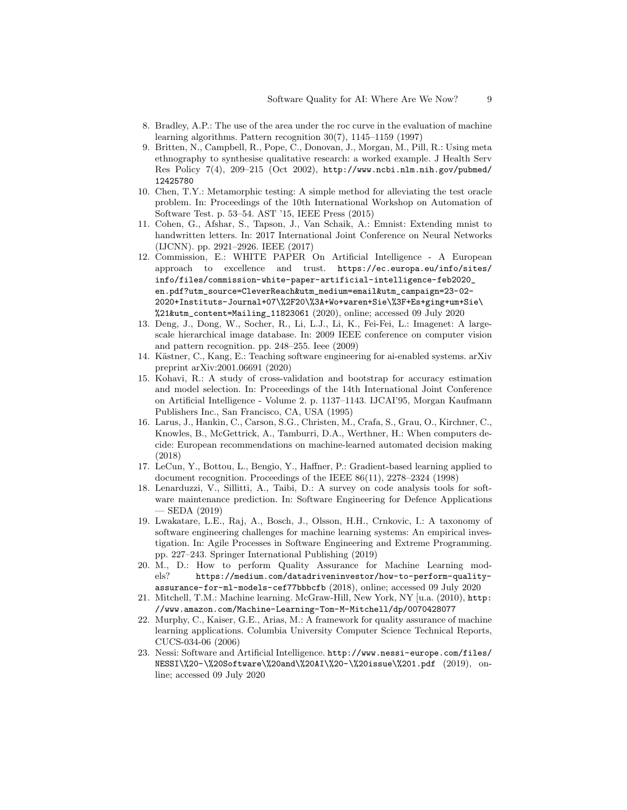- 8. Bradley, A.P.: The use of the area under the roc curve in the evaluation of machine learning algorithms. Pattern recognition 30(7), 1145–1159 (1997)
- 9. Britten, N., Campbell, R., Pope, C., Donovan, J., Morgan, M., Pill, R.: Using meta ethnography to synthesise qualitative research: a worked example. J Health Serv Res Policy 7(4), 209–215 (Oct 2002), http://www.ncbi.nlm.nih.gov/pubmed/ 12425780
- 10. Chen, T.Y.: Metamorphic testing: A simple method for alleviating the test oracle problem. In: Proceedings of the 10th International Workshop on Automation of Software Test. p. 53–54. AST '15, IEEE Press (2015)
- 11. Cohen, G., Afshar, S., Tapson, J., Van Schaik, A.: Emnist: Extending mnist to handwritten letters. In: 2017 International Joint Conference on Neural Networks (IJCNN). pp. 2921–2926. IEEE (2017)
- 12. Commission, E.: WHITE PAPER On Artificial Intelligence A European approach to excellence and trust. https://ec.europa.eu/info/sites/ info/files/commission-white-paper-artificial-intelligence-feb2020\_ en.pdf?utm\_source=CleverReach&utm\_medium=email&utm\_campaign=23-02- 2020+Instituts-Journal+07\%2F20\%3A+Wo+waren+Sie\%3F+Es+ging+um+Sie\  $%21k$ utm\_content=Mailing\_11823061 (2020), online; accessed 09 July 2020
- 13. Deng, J., Dong, W., Socher, R., Li, L.J., Li, K., Fei-Fei, L.: Imagenet: A largescale hierarchical image database. In: 2009 IEEE conference on computer vision and pattern recognition. pp. 248–255. Ieee (2009)
- 14. Kästner, C., Kang, E.: Teaching software engineering for ai-enabled systems. arXiv preprint arXiv:2001.06691 (2020)
- 15. Kohavi, R.: A study of cross-validation and bootstrap for accuracy estimation and model selection. In: Proceedings of the 14th International Joint Conference on Artificial Intelligence - Volume 2. p. 1137–1143. IJCAI'95, Morgan Kaufmann Publishers Inc., San Francisco, CA, USA (1995)
- 16. Larus, J., Hankin, C., Carson, S.G., Christen, M., Crafa, S., Grau, O., Kirchner, C., Knowles, B., McGettrick, A., Tamburri, D.A., Werthner, H.: When computers decide: European recommendations on machine-learned automated decision making (2018)
- 17. LeCun, Y., Bottou, L., Bengio, Y., Haffner, P.: Gradient-based learning applied to document recognition. Proceedings of the IEEE 86(11), 2278–2324 (1998)
- 18. Lenarduzzi, V., Sillitti, A., Taibi, D.: A survey on code analysis tools for software maintenance prediction. In: Software Engineering for Defence Applications — SEDA (2019)
- 19. Lwakatare, L.E., Raj, A., Bosch, J., Olsson, H.H., Crnkovic, I.: A taxonomy of software engineering challenges for machine learning systems: An empirical investigation. In: Agile Processes in Software Engineering and Extreme Programming. pp. 227–243. Springer International Publishing (2019)
- 20. M., D.: How to perform Quality Assurance for Machine Learning models? https://medium.com/datadriveninvestor/how-to-perform-qualityassurance-for-ml-models-cef77bbbcfb (2018), online; accessed 09 July 2020
- 21. Mitchell, T.M.: Machine learning. McGraw-Hill, New York, NY [u.a. (2010), http: //www.amazon.com/Machine-Learning-Tom-M-Mitchell/dp/0070428077
- 22. Murphy, C., Kaiser, G.E., Arias, M.: A framework for quality assurance of machine learning applications. Columbia University Computer Science Technical Reports, CUCS-034-06 (2006)
- 23. Nessi: Software and Artificial Intelligence. http://www.nessi-europe.com/files/ NESSI\%20-\%20Software\%20and\%20AI\%20-\%20issue\%201.pdf (2019), online; accessed 09 July 2020